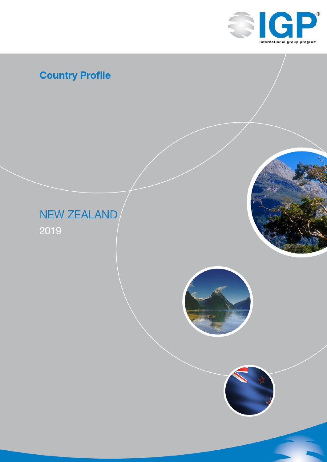

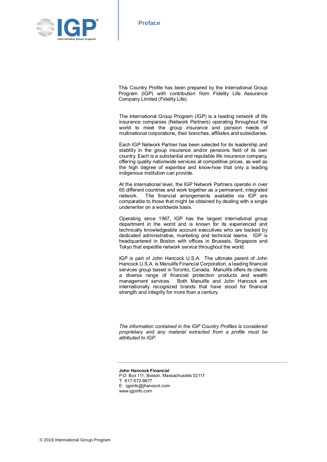

This Country Profile has been prepared by the International Group Program (IGP) with contribution from Fidelity Life Assurance Company Limited (Fidelity Life).

The International Group Program (IGP) is a leading network of life insurance companies (Network Partners) operating throughout the world to meet the group insurance and pension needs of multinational corporations, their branches, affiliates and subsidiaries.

Each IGP Network Partner has been selected for its leadership and stability in the group insurance and/or pensions field of its own country. Each is a substantial and reputable life insurance company, offering quality nationwide services at competitive prices, as well as the high degree of expertise and know-how that only a leading indigenous institution can provide.

At the international level, the IGP Network Partners operate in over 65 different countries and work together as a permanent, integrated network. The financial arrangements available via IGP are comparable to those that might be obtained by dealing with a single underwriter on a worldwide basis.

Operating since 1967, IGP has the largest international group department in the world and is known for its experienced and technically knowledgeable account executives who are backed by dedicated administrative, marketing and technical teams. IGP is headquartered in Boston with offices in Brussels, Singapore and Tokyo that expedite network service throughout the world.

IGP is part of John Hancock U.S.A. The ultimate parent of John Hancock U.S.A. is Manulife Financial Corporation, a leading financial services group based in Toronto, Canada. Manulife offers its clients a diverse range of financial protection products and wealth management services. Both Manulife and John Hancock are internationally recognized brands that have stood for financial strength and integrity for more than a century.

*The information contained in the IGP Country Profiles is considered proprietary and any material extracted from a profile must be attributed to IGP.*

**John Hancock Financial** P.O. Box 111, Boston, Massachusetts 02117 T: 617-572-8677 E: igpinfo@jhancock.com www.igpinfo.com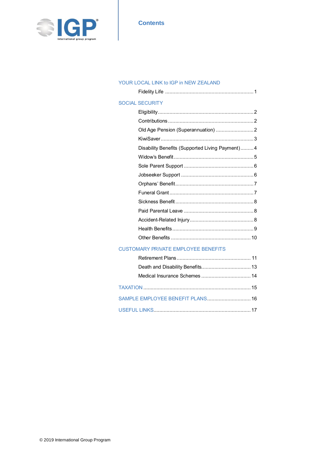

### **Contents**

#### YOUR LOCAL LINK to IGP in NEW ZEALAND

| <b>SOCIAL SECURITY</b>                          |
|-------------------------------------------------|
|                                                 |
|                                                 |
|                                                 |
|                                                 |
| Disability Benefits (Supported Living Payment)4 |
|                                                 |
|                                                 |
|                                                 |
|                                                 |
|                                                 |
|                                                 |
|                                                 |
|                                                 |
|                                                 |
|                                                 |

### CUSTOMARY PRIVATE EMPLOYEE BENEFITS

| SAMPLE EMPLOYEE BENEFIT PLANS 16 |  |
|----------------------------------|--|
|                                  |  |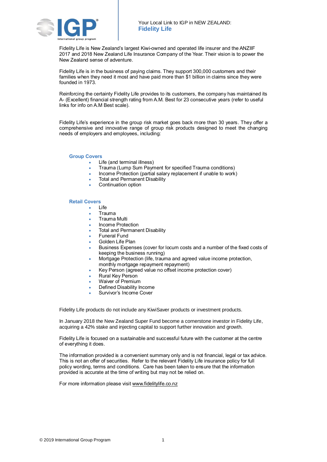

Fidelity Life is New Zealand's largest Kiwi-owned and operated life insurer and the ANZIIF 2017 and 2018 New Zealand Life Insurance Company of the Year. Their vision is to power the New Zealand sense of adventure.

Fidelity Life is in the business of paying claims. They support 300,000 customers and their families when they need it most and have paid more than \$1 billion in claims since they were founded in 1973.

Reinforcing the certainty Fidelity Life provides to its customers, the company has maintained its A- (Excellent) financial strength rating from A.M. Best for 23 consecutive years (refer to useful links for info on A.M Best scale).

Fidelity Life's experience in the group risk market goes back more than 30 years. They offer a comprehensive and innovative range of group risk products designed to meet the changing needs of employers and employees, including:

#### **Group Covers**

- Life (and terminal illness)
	- Trauma (Lump Sum Payment for specified Trauma conditions)
- Income Protection (partial salary replacement if unable to work)
- Total and Permanent Disability
- Continuation option

#### **Retail Covers**

- Life
	- Trauma
	- Trauma Multi
	- Income Protection
	- Total and Permanent Disability
	- Funeral Fund
	- Golden Life Plan
	- Business Expenses (cover for locum costs and a number of the fixed costs of keeping the business running)
	- Mortgage Protection (life, trauma and agreed value income protection, monthly mortgage repayment repayment)
- Key Person (agreed value no offset income protection cover)
- Rural Key Person
- Waiver of Premium
- Defined Disability Income
- Survivor's Income Cover

Fidelity Life products do not include any KiwiSaver products or investment products.

In January 2018 the New Zealand Super Fund become a cornerstone investor in Fidelity Life, acquiring a 42% stake and injecting capital to support further innovation and growth.

Fidelity Life is focused on a sustainable and successful future with the customer at the centre of everything it does.

The information provided is a convenient summary only and is not financial, legal or tax advice. This is not an offer of securities. Refer to the relevant Fidelity Life insurance policy for full policy wording, terms and conditions. Care has been taken to ensure that the information provided is accurate at the time of writing but may not be relied on.

For more information please visit www.fidelitylife.co.nz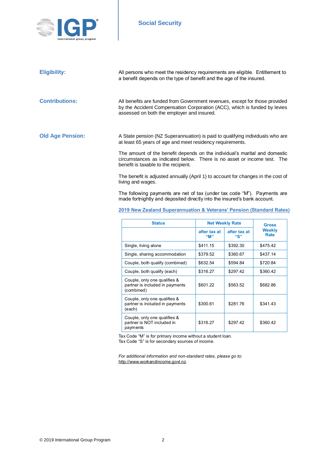

# **Social Security**

| <b>Eligibility:</b>     | All persons who meet the residency requirements are eligible. Entitlement to<br>a benefit depends on the type of benefit and the age of the insured.                                                   |
|-------------------------|--------------------------------------------------------------------------------------------------------------------------------------------------------------------------------------------------------|
| <b>Contributions:</b>   | All benefits are funded from Government revenues, except for those provided<br>by the Accident Compensation Corporation (ACC), which is funded by levies<br>assessed on both the employer and insured. |
| <b>Old Age Pension:</b> | A State pension (NZ Superannuation) is paid to qualifying individuals who are<br>at least 65 years of age and meet residency requirements.                                                             |
|                         | The amount of the benefit depends on the individual's marital and domestic<br>circumstances as indicated below. There is no asset or income test. The<br>benefit is taxable to the recipient.          |
|                         | The benefit is adjusted annually (April 1) to account for changes in the cost of<br>living and wages.                                                                                                  |
|                         | The following payments are net of tax (under tax code "M"). Payments are<br>made fortnightly and deposited directly into the insured's bank account.                                                   |
|                         | 2019 New Zealand Superannuation & Veterans' Pension (Standard Rates)                                                                                                                                   |

| <b>Status</b>                                                                 | <b>Net Weekly Rate</b> |                     | Gross          |
|-------------------------------------------------------------------------------|------------------------|---------------------|----------------|
|                                                                               | after tax at<br>"M"    | after tax at<br>"S" | Weekly<br>Rate |
| Single, living alone                                                          | \$411.15               | \$392.30            | \$475.42       |
| Single, sharing accommodation                                                 | \$379.52               | \$360.67            | \$437.14       |
| Couple, both qualify (combined)                                               | \$632.54               | \$594.84            | \$720.84       |
| Couple, both qualify (each)                                                   | \$316.27               | \$297.42            | \$360.42       |
| Couple, only one qualifies &<br>partner is included in payments<br>(combined) | \$601.22               | \$563.52            | \$682.86       |
| Couple, only one qualifies &<br>partner is included in payments<br>(each)     | \$300.61               | \$281.76            | \$341.43       |
| Couple, only one qualifies &<br>partner is NOT included in<br>payments        | \$316.27               | \$297.42            | \$360.42       |

Tax Code "M" is for primary income without a student loan.

Tax Code "S" is for secondary sources of income.

*For additional information and non-standard rates, please go to:* http://www.workandincome.govt.nz.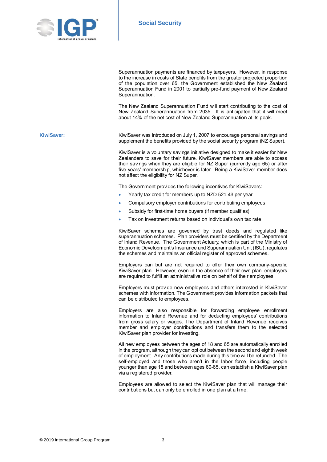

Superannuation payments are financed by taxpayers. However, in response to the increase in costs of State benefits from the greater projected proportion of the population over 65, the Government established the New Zealand Superannuation Fund in 2001 to partially pre-fund payment of New Zealand Superannuation. The New Zealand Superannuation Fund will start contributing to the cost of New Zealand Superannuation from 2035. It is anticipated that it will meet about 14% of the net cost of New Zealand Superannuation at its peak. KiwiSaver: KiwiSaver was introduced on July 1, 2007 to encourage personal savings and supplement the benefits provided by the social security program (NZ Super). KiwiSaver is a voluntary savings initiative designed to make it easier for New Zealanders to save for their future. KiwiSaver members are able to access their savings when they are eligible for NZ Super (currently age 65) or after five years' membership, whichever is later. Being a KiwiSaver member does not affect the eligibility for NZ Super. The Government provides the following incentives for KiwiSavers: Yearly tax credit for members up to NZD 521.43 per year Compulsory employer contributions for contributing employees Subsidy for first-time home buyers (if member qualifies) Tax on investment returns based on individual's own tax rate KiwiSaver schemes are governed by trust deeds and regulated like superannuation schemes. Plan providers must be certified by the Department of Inland Revenue. The Government Actuary, which is part of the Ministry of Economic Development's Insurance and Superannuation Unit (ISU), regulates the schemes and maintains an official register of approved schemes. Employers can but are not required to offer their own company-specific KiwiSaver plan. However, even in the absence of their own plan, employers are required to fulfill an administrative role on behalf of their employees. Employers must provide new employees and others interested in KiwiSaver schemes with information. The Government provides information packets that can be distributed to employees. Employers are also responsible for forwarding employee enrollment information to Inland Revenue and for deducting employees' contributions from gross salary or wages. The Department of Inland Revenue receives member and employer contributions and transfers them to the selected KiwiSaver plan provider for investing. All new employees between the ages of 18 and 65 are automatically enrolled in the program, although they can opt out between the second and eighth week of employment. Any contributions made during this time will be refunded. The self-employed and those who aren't in the labor force, including people younger than age 18 and between ages 60-65, can establish a KiwiSaver plan via a registered provider.

> Employees are allowed to select the KiwiSaver plan that will manage their contributions but can only be enrolled in one plan at a time.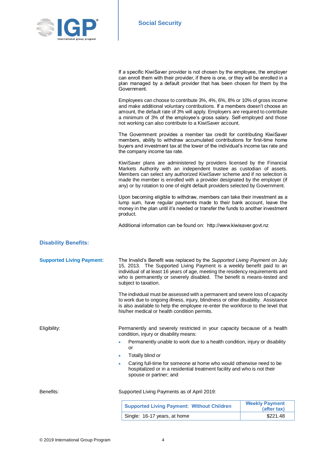

|                                  | If a specific KiwiSaver provider is not chosen by the employee, the employer<br>can enroll them with their provider, if there is one, or they will be enrolled in a<br>plan managed by a default provider that has been chosen for them by the<br>Government.                                                                                                                                |                                      |
|----------------------------------|----------------------------------------------------------------------------------------------------------------------------------------------------------------------------------------------------------------------------------------------------------------------------------------------------------------------------------------------------------------------------------------------|--------------------------------------|
|                                  | Employees can choose to contribute 3%, 4%, 6%, 8% or 10% of gross income<br>and make additional voluntary contributions. If a members doesn't choose an<br>amount, the default rate of 3% will apply. Employers are required to contribute<br>a minimum of 3% of the employee's gross salary. Self-employed and those<br>not working can also contribute to a KiwiSaver account.             |                                      |
|                                  | The Government provides a member tax credit for contributing KiwiSaver<br>members, ability to withdraw accumulated contributions for first-time home<br>buyers and investment tax at the lower of the individual's income tax rate and<br>the company income tax rate.                                                                                                                       |                                      |
|                                  | KiwiSaver plans are administered by providers licensed by the Financial<br>Markets Authority with an independent trustee as custodian of assets.<br>Members can select any authorized KiwiSaver scheme and if no selection is<br>made the member is enrolled with a provider designated by the employer (if<br>any) or by rotation to one of eight default providers selected by Government. |                                      |
|                                  | Upon becoming eligible to withdraw, members can take their investment as a<br>lump sum, have regular payments made to their bank account, leave the<br>money in the plan until it's needed or transfer the funds to another investment<br>product.                                                                                                                                           |                                      |
|                                  | Additional information can be found on: http://www.kiwisaver.govt.nz                                                                                                                                                                                                                                                                                                                         |                                      |
| <b>Disability Benefits:</b>      |                                                                                                                                                                                                                                                                                                                                                                                              |                                      |
| <b>Supported Living Payment:</b> | The Invalid's Benefit was replaced by the Supported Living Payment on July<br>15, 2013. The Supported Living Payment is a weekly benefit paid to an<br>individual of at least 16 years of age, meeting the residency requirements and<br>who is permanently or severely disabled. The benefit is means-tested and<br>subject to taxation.                                                    |                                      |
|                                  | The individual must be assessed with a permanent and severe loss of capacity<br>to work due to ongoing illness, injury, blindness or other disability. Assistance<br>is also available to help the employee re-enter the workforce to the level that<br>his/her medical or health condition permits.                                                                                         |                                      |
| Eligibility:                     | Permanently and severely restricted in your capacity because of a health<br>condition, injury or disability means:                                                                                                                                                                                                                                                                           |                                      |
|                                  | Permanently unable to work due to a health condition, injury or disability<br>or                                                                                                                                                                                                                                                                                                             |                                      |
|                                  | Totally blind or<br>٠                                                                                                                                                                                                                                                                                                                                                                        |                                      |
|                                  | Caring full-time for someone at home who would otherwise need to be<br>hospitalized or in a residential treatment facility and who is not their<br>spouse or partner; and                                                                                                                                                                                                                    |                                      |
| Benefits:                        | Supported Living Payments as of April 2019:                                                                                                                                                                                                                                                                                                                                                  |                                      |
|                                  | <b>Supported Living Payment: Without Children</b>                                                                                                                                                                                                                                                                                                                                            | <b>Weekly Payment</b><br>(after tax) |
|                                  | Single: 16-17 years, at home                                                                                                                                                                                                                                                                                                                                                                 | \$221.48                             |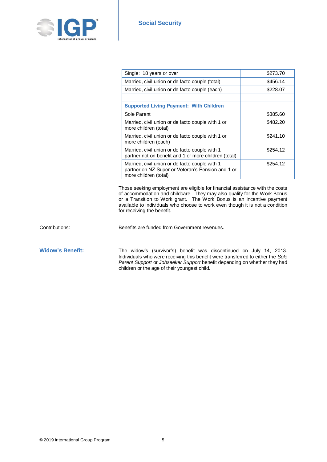

| Single: 18 years or over                                                                                                     | \$273.70 |
|------------------------------------------------------------------------------------------------------------------------------|----------|
| Married, civil union or de facto couple (total)                                                                              | \$456.14 |
| Married, civil union or de facto couple (each)                                                                               | \$228.07 |
|                                                                                                                              |          |
| <b>Supported Living Payment: With Children</b>                                                                               |          |
| Sole Parent                                                                                                                  | \$385.60 |
| Married, civil union or de facto couple with 1 or<br>more children (total)                                                   | \$482.20 |
| Married, civil union or de facto couple with 1 or<br>more children (each)                                                    | \$241.10 |
| Married, civil union or de facto couple with 1<br>partner not on benefit and 1 or more children (total)                      | \$254.12 |
| Married, civil union or de facto couple with 1<br>partner on NZ Super or Veteran's Pension and 1 or<br>more children (total) | \$254.12 |

Those seeking employment are eligible for financial assistance with the costs of accommodation and childcare. They may also qualify for the Work Bonus or a Transition to Work grant. The Work Bonus is an incentive payment available to individuals who choose to work even though it is not a condition for receiving the benefit.

Contributions: Benefits are funded from Government revenues.

Widow's Benefit: The widow's (survivor's) benefit was discontinued on July 14, 2013. Individuals who were receiving this benefit were transferred to either the *Sole Parent Support* or *Jobseeker Support* benefit depending on whether they had children or the age of their youngest child.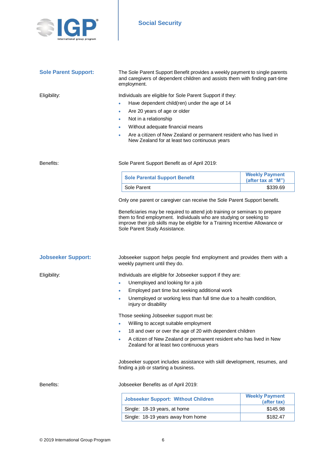

| <b>Sole Parent Support:</b>                                | The Sole Parent Support Benefit provides a weekly payment to single parents<br>and caregivers of dependent children and assists them with finding part-time<br>employment.                                                                                                                                                                         |                                             |
|------------------------------------------------------------|----------------------------------------------------------------------------------------------------------------------------------------------------------------------------------------------------------------------------------------------------------------------------------------------------------------------------------------------------|---------------------------------------------|
| Eligibility:                                               | Individuals are eligible for Sole Parent Support if they:                                                                                                                                                                                                                                                                                          |                                             |
|                                                            | Have dependent child(ren) under the age of 14<br>۰                                                                                                                                                                                                                                                                                                 |                                             |
|                                                            | Are 20 years of age or older<br>٠                                                                                                                                                                                                                                                                                                                  |                                             |
|                                                            | Not in a relationship<br>٠                                                                                                                                                                                                                                                                                                                         |                                             |
|                                                            | Without adequate financial means<br>۰                                                                                                                                                                                                                                                                                                              |                                             |
|                                                            | Are a citizen of New Zealand or permanent resident who has lived in<br>۰<br>New Zealand for at least two continuous years                                                                                                                                                                                                                          |                                             |
| Benefits:<br>Sole Parent Support Benefit as of April 2019: |                                                                                                                                                                                                                                                                                                                                                    |                                             |
|                                                            | <b>Sole Parental Support Benefit</b>                                                                                                                                                                                                                                                                                                               | <b>Weekly Payment</b><br>(after tax at "M") |
|                                                            | Sole Parent                                                                                                                                                                                                                                                                                                                                        | \$339.69                                    |
|                                                            | Only one parent or caregiver can receive the Sole Parent Support benefit.<br>Beneficiaries may be required to attend job training or seminars to prepare<br>them to find employment. Individuals who are studying or seeking to<br>improve their job skills may be eligible for a Training Incentive Allowance or<br>Sole Parent Study Assistance. |                                             |
| <b>Jobseeker Support:</b>                                  | Jobseeker support helps people find employment and provides them with a<br>weekly payment until they do.                                                                                                                                                                                                                                           |                                             |
| Eligibility:                                               | Individuals are eligible for Jobseeker support if they are:                                                                                                                                                                                                                                                                                        |                                             |
|                                                            | Unemployed and looking for a job<br>٠                                                                                                                                                                                                                                                                                                              |                                             |
|                                                            | Employed part time but seeking additional work<br>٠                                                                                                                                                                                                                                                                                                |                                             |
|                                                            | Unemployed or working less than full time due to a health condition,<br>injury or disability                                                                                                                                                                                                                                                       |                                             |
|                                                            | Those seeking Jobseeker support must be:                                                                                                                                                                                                                                                                                                           |                                             |
|                                                            | Willing to accept suitable employment<br>۰                                                                                                                                                                                                                                                                                                         |                                             |
|                                                            | 18 and over or over the age of 20 with dependent children<br>٠                                                                                                                                                                                                                                                                                     |                                             |
|                                                            | A citizen of New Zealand or permanent resident who has lived in New<br>٠<br>Zealand for at least two continuous years                                                                                                                                                                                                                              |                                             |
|                                                            | Jobseeker support includes assistance with skill development, resumes, and<br>finding a job or starting a business.                                                                                                                                                                                                                                |                                             |
| Benefits:                                                  | Jobseeker Benefits as of April 2019:                                                                                                                                                                                                                                                                                                               |                                             |
|                                                            | <b>Jobseeker Support: Without Children</b>                                                                                                                                                                                                                                                                                                         | <b>Weekly Payment</b><br>(after tax)        |

Single: 18-19 years, at home \$145.98 Single: 18-19 years away from home \$182.47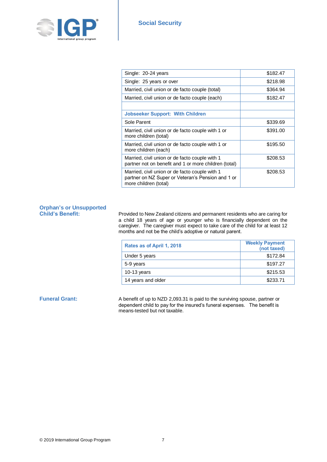

| Single: 20-24 years                                                                                                          | \$182.47 |
|------------------------------------------------------------------------------------------------------------------------------|----------|
| Single: 25 years or over                                                                                                     | \$218.98 |
| Married, civil union or de facto couple (total)                                                                              | \$364.94 |
| Married, civil union or de facto couple (each)                                                                               | \$182.47 |
|                                                                                                                              |          |
| <b>Jobseeker Support: With Children</b>                                                                                      |          |
| Sole Parent                                                                                                                  | \$339.69 |
| Married, civil union or de facto couple with 1 or<br>more children (total)                                                   | \$391.00 |
| Married, civil union or de facto couple with 1 or<br>more children (each)                                                    | \$195.50 |
| Married, civil union or de facto couple with 1<br>partner not on benefit and 1 or more children (total)                      | \$208.53 |
| Married, civil union or de facto couple with 1<br>partner on NZ Super or Veteran's Pension and 1 or<br>more children (total) | \$208.53 |

# **Orphan's or Unsupported**

**Child's Benefit:** Provided to New Zealand citizens and permanent residents who are caring for a child 18 years of age or younger who is financially dependent on the caregiver. The caregiver must expect to take care of the child for at least 12 months and not be the child's adoptive or natural parent.

| Rates as of April 1, 2018 | <b>Weekly Payment</b><br>(not taxed) |
|---------------------------|--------------------------------------|
| Under 5 years             | \$172.84                             |
| 5-9 years                 | \$197.27                             |
| 10-13 years               | \$215.53                             |
| 14 years and older        | \$233.71                             |

**Funeral Grant:** A benefit of up to NZD 2,093.31 is paid to the surviving spouse, partner or dependent child to pay for the insured's funeral expenses. The benefit is means-tested but not taxable.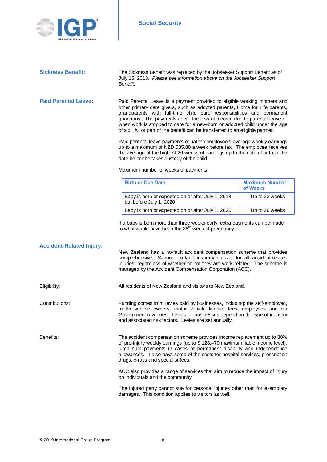

**Sickness Benefit:** The Sickness Benefit was replaced by the Jobseeker Support Benefit as of July 15, 2013. *Please see information above on the Jobseeker Support Benefit.*

**Paid Parental Leave:** Paid Parental Leave is a payment provided to eligible working mothers and other primary care givers, such as adopted parents, Home for Life parents, grandparents with full-time child care responsibilities and permanent guardians. The payments cover the loss of income due to parental leave or when work is stopped to care for a new-born or adopted child under the age of six. All or part of the benefit can be transferred to an eligible partner.

> Paid parental leave payments equal the employee's average weekly earnings up to a maximum of NZD 585.80 a week before tax. The employee receives the average of the highest 26 weeks of earnings up to the date of birth or the date he or she takes custody of the child.

Maximum number of weeks of payments:

| <b>Birth or Due Date</b>                                                     | <b>Maximum Number</b><br>of Weeks |
|------------------------------------------------------------------------------|-----------------------------------|
| Baby is born or expected on or after July 1, 2018<br>but before July 1, 2020 | Up to 22 weeks                    |
| Baby is born or expected on or after July 1, 2020                            | Up to 26 weeks                    |

If a baby is born more than three weeks early, extra payments can be made to what would have been the 36<sup>th</sup> week of pregnancy.

| <b>Accident-Related Injury:</b> | New Zealand has a no-fault accident compensation scheme that provides<br>comprehensive, 24-hour, no-fault insurance cover for all accident-related<br>injuries, regardless of whether or not they are work-related. The scheme is<br>managed by the Accident Compensation Corporation (ACC).                                                          |
|---------------------------------|-------------------------------------------------------------------------------------------------------------------------------------------------------------------------------------------------------------------------------------------------------------------------------------------------------------------------------------------------------|
| Eligibility:                    | All residents of New Zealand and visitors to New Zealand.                                                                                                                                                                                                                                                                                             |
| Contributions:                  | Funding comes from levies paid by businesses, including: the self-employed,<br>motor vehicle owners, motor vehicle license fees, employees and via<br>Government revenues. Levies for businesses depend on the type of industry<br>and associated risk factors. Levies are set annually.                                                              |
| Benefits:                       | The accident compensation scheme provides income replacement up to 80%<br>of pre-injury weekly earnings (up to \$128,470 maximum liable income level),<br>lump sum payments in cases of permanent disability and independence<br>allowances. It also pays some of the costs for hospital services, prescription<br>drugs, x-rays and specialist fees. |
|                                 | ACC also provides a range of services that aim to reduce the impact of injury<br>on individuals and the community.                                                                                                                                                                                                                                    |
|                                 | The injured party cannot sue for personal injuries other than for exemplary<br>damages. This condition applies to visitors as well.                                                                                                                                                                                                                   |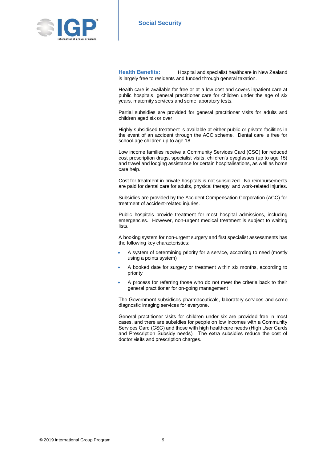

**Health Benefits:** Hospital and specialist healthcare in New Zealand is largely free to residents and funded through general taxation.

Health care is available for free or at a low cost and covers inpatient care at public hospitals, general practitioner care for children under the age of six years, maternity services and some laboratory tests.

Partial subsidies are provided for general practitioner visits for adults and children aged six or over.

Highly subsidised treatment is available at either public or private facilities in the event of an accident through the ACC scheme. Dental care is free for school-age children up to age 18.

Low income families receive a Community Services Card (CSC) for reduced cost prescription drugs, specialist visits, children's eyeglasses (up to age 15) and travel and lodging assistance for certain hospitalisations, as well as home care help.

Cost for treatment in private hospitals is not subsidized. No reimbursements are paid for dental care for adults, physical therapy, and work-related injuries.

Subsidies are provided by the Accident Compensation Corporation (ACC) for treatment of accident-related injuries.

Public hospitals provide treatment for most hospital admissions, including emergencies. However, non-urgent medical treatment is subject to waiting lists.

A booking system for non-urgent surgery and first specialist assessments has the following key characteristics:

- A system of determining priority for a service, according to need (mostly using a points system)
- A booked date for surgery or treatment within six months, according to priority
- A process for referring those who do not meet the criteria back to their general practitioner for on-going management

The Government subsidises pharmaceuticals, laboratory services and some diagnostic imaging services for everyone.

General practitioner visits for children under six are provided free in most cases, and there are subsidies for people on low incomes with a Community Services Card (CSC) and those with high healthcare needs (High User Cards and Prescription Subsidy needs). The extra subsidies reduce the cost of doctor visits and prescription charges.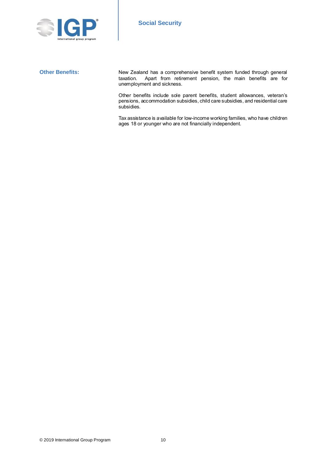

**Other Benefits:** New Zealand has a comprehensive benefit system funded through general taxation. Apart from retirement pension, the main benefits are for unemployment and sickness.

> Other benefits include sole parent benefits, student allowances, veteran's pensions, accommodation subsidies, child care subsidies, and residential care subsidies.

> Tax assistance is available for low-income working families, who have children ages 18 or younger who are not financially independent.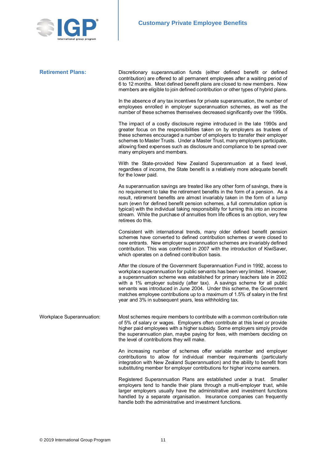

| <b>Retirement Plans:</b>  | Discretionary superannuation funds (either defined benefit or defined<br>contribution) are offered to all permanent employees after a waiting period of<br>6 to 12 months. Most defined benefit plans are closed to new members. New<br>members are eligible to join defined contribution or other types of hybrid plans.                                                                                                                                                                                                                |
|---------------------------|------------------------------------------------------------------------------------------------------------------------------------------------------------------------------------------------------------------------------------------------------------------------------------------------------------------------------------------------------------------------------------------------------------------------------------------------------------------------------------------------------------------------------------------|
|                           | In the absence of any tax incentives for private superannuation, the number of<br>employees enrolled in employer superannuation schemes, as well as the<br>number of these schemes themselves decreased significantly over the 1990s.                                                                                                                                                                                                                                                                                                    |
|                           | The impact of a costly disclosure regime introduced in the late 1990s and<br>greater focus on the responsibilities taken on by employers as trustees of<br>these schemes encouraged a number of employers to transfer their employer<br>schemes to Master Trusts. Under a Master Trust, many employers participate,<br>allowing fixed expenses such as disclosure and compliance to be spread over<br>many employers and members.                                                                                                        |
|                           | With the State-provided New Zealand Superannuation at a fixed level,<br>regardless of income, the State benefit is a relatively more adequate benefit<br>for the lower paid.                                                                                                                                                                                                                                                                                                                                                             |
|                           | As superannuation savings are treated like any other form of savings, there is<br>no requirement to take the retirement benefits in the form of a pension. As a<br>result, retirement benefits are almost invariably taken in the form of a lump<br>sum (even for defined benefit pension schemes, a full commutation option is<br>typical) with the individual taking responsibility for turning this into an income<br>stream. While the purchase of annuities from life offices is an option, very few<br>retirees do this.           |
|                           | Consistent with international trends, many older defined benefit pension<br>schemes have converted to defined contribution schemes or were closed to<br>new entrants. New employer superannuation schemes are invariably defined<br>contribution. This was confirmed in 2007 with the introduction of KiwiSaver,<br>which operates on a defined contribution basis.                                                                                                                                                                      |
|                           | After the closure of the Government Superannuation Fund in 1992, access to<br>workplace superannuation for public servants has been very limited. However,<br>a superannuation scheme was established for primary teachers late in 2002<br>with a 1% employer subsidy (after tax). A savings scheme for all public<br>servants was introduced in June 2004. Under this scheme, the Government<br>matches employee contributions up to a maximum of 1.5% of salary in the first<br>year and 3% in subsequent years, less withholding tax. |
| Workplace Superannuation: | Most schemes require members to contribute with a common contribution rate<br>of 5% of salary or wages. Employers often contribute at this level or provide<br>higher paid employees with a higher subsidy. Some employers simply provide<br>the superannuation plan, maybe paying for fees, with members deciding on<br>the level of contributions they will make.                                                                                                                                                                      |
|                           | An increasing number of schemes offer variable member and employer<br>contributions to allow for individual member requirements (particularly<br>integration with New Zealand Superannuation) and the ability to benefit from<br>substituting member for employer contributions for higher income earners.                                                                                                                                                                                                                               |
|                           | Registered Superannuation Plans are established under a trust. Smaller<br>employers tend to handle their plans through a multi-employer trust, while<br>larger employers usually have the administrative and investment functions<br>handled by a separate organisation. Insurance companies can frequently                                                                                                                                                                                                                              |

handle both the administrative and investment functions.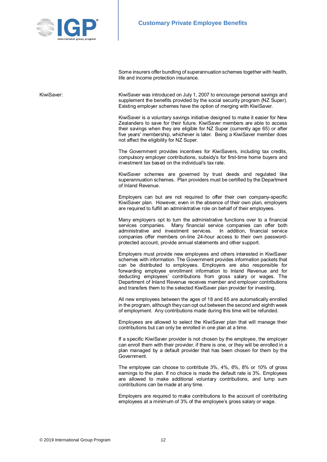

Some insurers offer bundling of superannuation schemes together with health, life and income protection insurance.

KiwiSaver: KiwiSaver was introduced on July 1, 2007 to encourage personal savings and supplement the benefits provided by the social security program (NZ Super). Existing employer schemes have the option of merging with KiwiSaver.

> KiwiSaver is a voluntary savings initiative designed to make it easier for New Zealanders to save for their future. KiwiSaver members are able to access their savings when they are eligible for NZ Super (currently age 65) or after five years' membership, whichever is later. Being a KiwiSaver member does not affect the eligibility for NZ Super.

> The Government provides incentives for KiwiSavers, including tax credits, compulsory employer contributions, subsidy's for first-time home buyers and investment tax based on the individual's tax rate.

> KiwiSaver schemes are governed by trust deeds and regulated like superannuation schemes. Plan providers must be certified by the Department of Inland Revenue.

> Employers can but are not required to offer their own company-specific KiwiSaver plan. However, even in the absence of their own plan, employers are required to fulfill an administrative role on behalf of their employees.

> Many employers opt to turn the administrative functions over to a financial services companies. Many financial service companies can offer both administrative and investment services. In addition, financial service administrative and investment services. companies offer members on-line 24-hour access to their own passwordprotected account, provide annual statements and other support.

> Employers must provide new employees and others interested in KiwiSaver schemes with information. The Government provides information packets that can be distributed to employees. Employers are also responsible for forwarding employee enrollment information to Inland Revenue and for deducting employees' contributions from gross salary or wages. The Department of Inland Revenue receives member and employer contributions and transfers them to the selected KiwiSaver plan provider for investing.

> All new employees between the ages of 18 and 65 are automatically enrolled in the program, although they can opt out between the second and eighth week of employment. Any contributions made during this time will be refunded.

> Employees are allowed to select the KiwiSaver plan that will manage their contributions but can only be enrolled in one plan at a time.

> If a specific KiwiSaver provider is not chosen by the employee, the employer can enroll them with their provider, if there is one, or they will be enrolled in a plan managed by a default provider that has been chosen for them by the Government.

> The employee can choose to contribute 3%, 4%, 6%, 8% or 10% of gross earnings to the plan. If no choice is made the default rate is 3%. Employees are allowed to make additional voluntary contributions, and lump sum contributions can be made at any time.

> Employers are required to make contributions to the account of contributing employees at a minimum of 3% of the employee's gross salary or wage.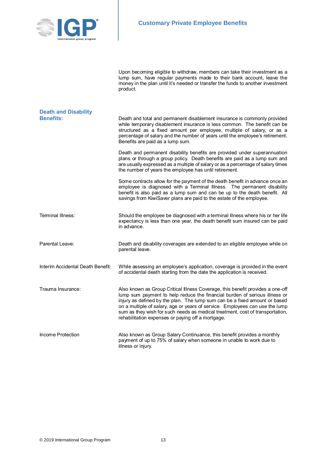

Upon becoming eligible to withdraw, members can take their investment as a lump sum, have regular payments made to their bank account, leave the money in the plan until it's needed or transfer the funds to another investment product. **Death and Disability Benefits:** Death and total and permanent disablement insurance is commonly provided while temporary disablement insurance is less common. The benefit can be structured as a fixed amount per employee, multiple of salary, or as a percentage of salary and the number of years until the employee's retirement. Benefits are paid as a lump sum. Death and permanent disability benefits are provided under superannuation plans or through a group policy. Death benefits are paid as a lump sum and are usually expressed as a multiple of salary or as a percentage of salary times the number of years the employee has until retirement. Some contracts allow for the payment of the death benefit in advance once an employee is diagnosed with a Terminal Illness. The permanent disability benefit is also paid as a lump sum and can be up to the death benefit. All savings from KiwiSaver plans are paid to the estate of the employee. Terminal Illness: Should the employee be diagnosed with a terminal illness where his or her life expectancy is less than one year, the death benefit sum insured can be paid in advance. Parental Leave: Death and disability coverages are extended to an eligible employee while on parental leave. Interim Accidental Death Benefit: While assessing an employee's application, coverage is provided in the event of accidental death starting from the date the application is received. Trauma Insurance: Also known as Group Critical Illness Coverage, this benefit provides a one-off lump sum payment to help reduce the financial burden of serious illness or injury as defined by the plan. The lump sum can be a fixed amount or based on a multiple of salary, age or years of service. Employees can use the lump sum as they wish for such needs as medical treatment, cost of transportation, rehabilitation expenses or paying off a mortgage. Income Protection **Also known as Group Salary Continuance**, this benefit provides a monthly payment of up to 75% of salary when someone in unable to work due to illness or injury.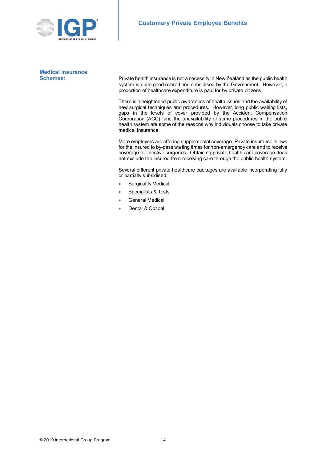

**Medical Insurance**

**Schemes:** Private health insurance is not a necessity in New Zealand as the public health system is quite good overall and subsidised by the Government. However, a proportion of healthcare expenditure is paid for by private citizens.

> There is a heightened public awareness of health issues and the availability of new surgical techniques and procedures. However, long public waiting lists, gaps in the levels of cover provided by the Accident Compensation Corporation (ACC), and the unavailability of some procedures in the public health system are some of the reasons why individuals choose to take private medical insurance.

> More employers are offering supplemental coverage. Private insurance allows for the insured to by-pass waiting times for non-emergency care and to receive coverage for elective surgeries. Obtaining private health care coverage does not exclude the insured from receiving care through the public health system.

> Several different private healthcare packages are available incorporating fully or partially subsidised:

- **Surgical & Medical**
- Specialists & Tests
- General Medical
- Dental & Optical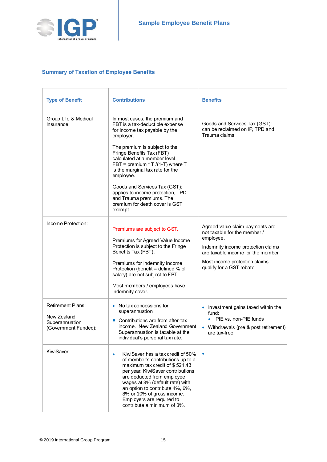

r.

# **Summary of Taxation of Employee Benefits**

| <b>Type of Benefit</b>                                                            | <b>Contributions</b>                                                                                                                                                                                                                                                                                                                                                                                                                               | <b>Benefits</b>                                                                                                                                                                                                       |
|-----------------------------------------------------------------------------------|----------------------------------------------------------------------------------------------------------------------------------------------------------------------------------------------------------------------------------------------------------------------------------------------------------------------------------------------------------------------------------------------------------------------------------------------------|-----------------------------------------------------------------------------------------------------------------------------------------------------------------------------------------------------------------------|
| Group Life & Medical<br>Insurance:                                                | In most cases, the premium and<br>FBT is a tax-deductible expense<br>for income tax payable by the<br>employer.<br>The premium is subject to the<br>Fringe Benefits Tax (FBT)<br>calculated at a member level.<br>FBT = premium $*T/(1-T)$ where T<br>is the marginal tax rate for the<br>employee.<br>Goods and Services Tax (GST):<br>applies to income protection, TPD<br>and Trauma premiums. The<br>premium for death cover is GST<br>exempt. | Goods and Services Tax (GST):<br>can be reclaimed on IP, TPD and<br>Trauma claims                                                                                                                                     |
| Income Protection:                                                                | Premiums are subject to GST.<br>Premiums for Agreed Value Income<br>Protection is subject to the Fringe<br>Benefits Tax (FBT).<br>Premiums for Indemnity Income<br>Protection (benefit = defined % of<br>salary) are not subject to FBT<br>Most members / employees have<br>indemnity cover.                                                                                                                                                       | Agreed value claim payments are<br>not taxable for the member /<br>employee.<br>Indemnity income protection claims<br>are taxable income for the member<br>Most income protection claims<br>qualify for a GST rebate. |
| <b>Retirement Plans:</b><br>New Zealand<br>Superannuation<br>(Government Funded): | No tax concessions for<br>superannuation<br>Contributions are from after-tax<br>income. New Zealand Government<br>Superannuation is taxable at the<br>individual's personal tax rate.                                                                                                                                                                                                                                                              | • Investment gains taxed within the<br>fund:<br>• PIE vs. non-PIE funds<br>• Withdrawals (pre & post retirement)<br>are tax-free.                                                                                     |
| KiwiSaver                                                                         | KiwiSaver has a tax credit of 50%<br>۰<br>of member's contributions up to a<br>maximum tax credit of \$521.43<br>per year. KiwiSaver contributions<br>are deducted from employee<br>wages at 3% (default rate) with<br>an option to contribute 4%, 6%,<br>8% or 10% of gross income.<br>Employers are required to<br>contribute a minimum of 3%.                                                                                                   |                                                                                                                                                                                                                       |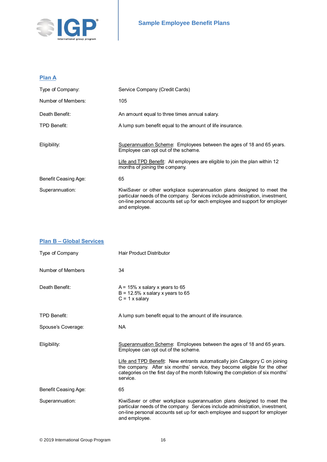

# **Plan A**

| Service Company (Credit Cards)                                                                                                                                                                                                                          |
|---------------------------------------------------------------------------------------------------------------------------------------------------------------------------------------------------------------------------------------------------------|
| 105                                                                                                                                                                                                                                                     |
| An amount equal to three times annual salary.                                                                                                                                                                                                           |
| A lump sum benefit equal to the amount of life insurance.                                                                                                                                                                                               |
|                                                                                                                                                                                                                                                         |
| Superannuation Scheme: Employees between the ages of 18 and 65 years.<br>Employee can opt out of the scheme.                                                                                                                                            |
| Life and TPD Benefit: All employees are eligible to join the plan within 12<br>months of joining the company.                                                                                                                                           |
| 65                                                                                                                                                                                                                                                      |
| KiwiSaver or other workplace superannuation plans designed to meet the<br>particular needs of the company. Services include administration, investment,<br>on-line personal accounts set up for each employee and support for employer<br>and employee. |
|                                                                                                                                                                                                                                                         |

| <b>Plan B - Global Services</b> |                                                                                                                                                                                                                                                           |
|---------------------------------|-----------------------------------------------------------------------------------------------------------------------------------------------------------------------------------------------------------------------------------------------------------|
| Type of Company                 | <b>Hair Product Distributor</b>                                                                                                                                                                                                                           |
| Number of Members               | 34                                                                                                                                                                                                                                                        |
| Death Benefit:                  | $A = 15\%$ x salary x years to 65<br>$B = 12.5\%$ x salary x years to 65<br>$C = 1$ x salary                                                                                                                                                              |
| TPD Benefit:                    | A lump sum benefit equal to the amount of life insurance.                                                                                                                                                                                                 |
| Spouse's Coverage:              | <b>NA</b>                                                                                                                                                                                                                                                 |
| Eligibility:                    | Superannuation Scheme: Employees between the ages of 18 and 65 years.<br>Employee can opt out of the scheme.                                                                                                                                              |
|                                 | Life and TPD Benefit: New entrants automatically join Category C on joining<br>the company. After six months' service, they become eligible for the other<br>categories on the first day of the month following the completion of six months'<br>service. |
| Benefit Ceasing Age:            | 65                                                                                                                                                                                                                                                        |
| Superannuation:                 | KiwiSaver or other workplace superannuation plans designed to meet the<br>particular needs of the company. Services include administration, investment,<br>on-line personal accounts set up for each employee and support for employer<br>and employee.   |